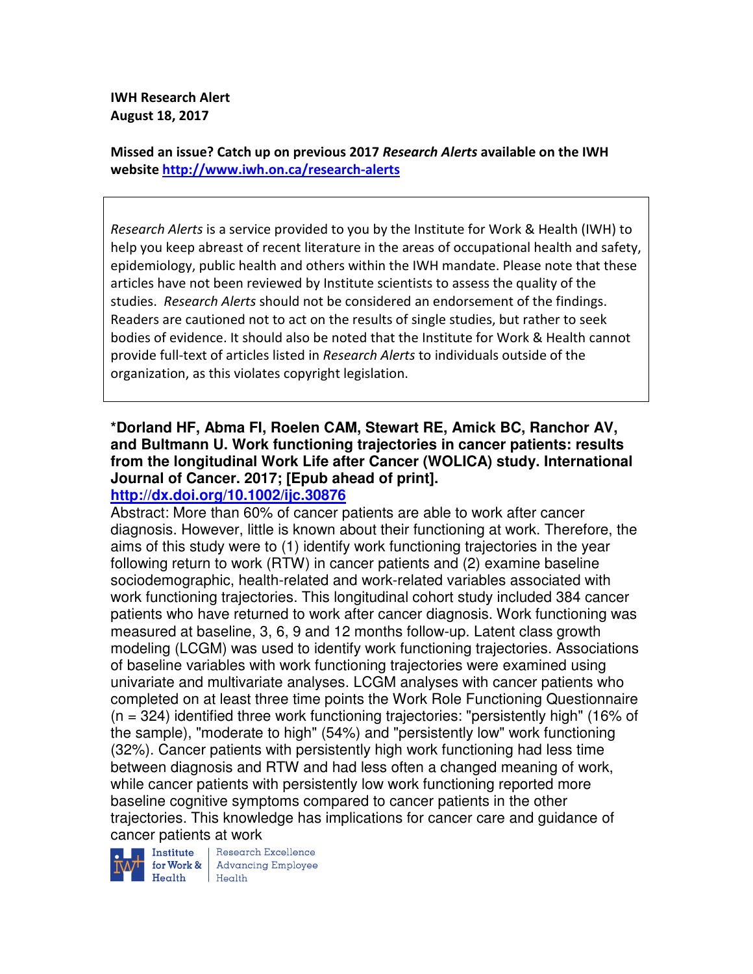**IWH Research Alert August 18, 2017** 

**Missed an issue? Catch up on previous 2017** *Research Alerts* **available on the IWH website http://www.iwh.on.ca/research-alerts**

*Research Alerts* is a service provided to you by the Institute for Work & Health (IWH) to help you keep abreast of recent literature in the areas of occupational health and safety, epidemiology, public health and others within the IWH mandate. Please note that these articles have not been reviewed by Institute scientists to assess the quality of the studies. *Research Alerts* should not be considered an endorsement of the findings. Readers are cautioned not to act on the results of single studies, but rather to seek bodies of evidence. It should also be noted that the Institute for Work & Health cannot provide full-text of articles listed in *Research Alerts* to individuals outside of the organization, as this violates copyright legislation.

# **\*Dorland HF, Abma FI, Roelen CAM, Stewart RE, Amick BC, Ranchor AV, and Bultmann U. Work functioning trajectories in cancer patients: results from the longitudinal Work Life after Cancer (WOLICA) study. International Journal of Cancer. 2017; [Epub ahead of print].**

## **http://dx.doi.org/10.1002/ijc.30876**

Abstract: More than 60% of cancer patients are able to work after cancer diagnosis. However, little is known about their functioning at work. Therefore, the aims of this study were to (1) identify work functioning trajectories in the year following return to work (RTW) in cancer patients and (2) examine baseline sociodemographic, health-related and work-related variables associated with work functioning trajectories. This longitudinal cohort study included 384 cancer patients who have returned to work after cancer diagnosis. Work functioning was measured at baseline, 3, 6, 9 and 12 months follow-up. Latent class growth modeling (LCGM) was used to identify work functioning trajectories. Associations of baseline variables with work functioning trajectories were examined using univariate and multivariate analyses. LCGM analyses with cancer patients who completed on at least three time points the Work Role Functioning Questionnaire  $(n = 324)$  identified three work functioning trajectories: "persistently high" (16% of the sample), "moderate to high" (54%) and "persistently low" work functioning (32%). Cancer patients with persistently high work functioning had less time between diagnosis and RTW and had less often a changed meaning of work, while cancer patients with persistently low work functioning reported more baseline cognitive symptoms compared to cancer patients in the other trajectories. This knowledge has implications for cancer care and guidance of

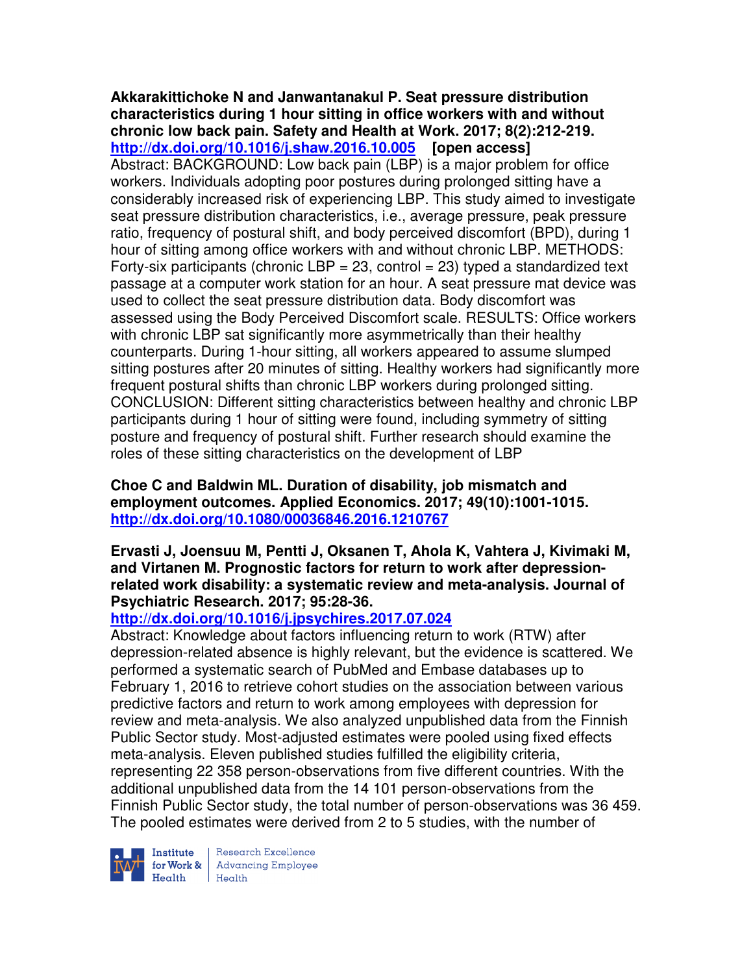**Akkarakittichoke N and Janwantanakul P. Seat pressure distribution characteristics during 1 hour sitting in office workers with and without chronic low back pain. Safety and Health at Work. 2017; 8(2):212-219. http://dx.doi.org/10.1016/j.shaw.2016.10.005 [open access]** Abstract: BACKGROUND: Low back pain (LBP) is a major problem for office workers. Individuals adopting poor postures during prolonged sitting have a considerably increased risk of experiencing LBP. This study aimed to investigate seat pressure distribution characteristics, i.e., average pressure, peak pressure ratio, frequency of postural shift, and body perceived discomfort (BPD), during 1 hour of sitting among office workers with and without chronic LBP. METHODS: Forty-six participants (chronic LBP = 23, control = 23) typed a standardized text passage at a computer work station for an hour. A seat pressure mat device was used to collect the seat pressure distribution data. Body discomfort was assessed using the Body Perceived Discomfort scale. RESULTS: Office workers with chronic LBP sat significantly more asymmetrically than their healthy counterparts. During 1-hour sitting, all workers appeared to assume slumped sitting postures after 20 minutes of sitting. Healthy workers had significantly more frequent postural shifts than chronic LBP workers during prolonged sitting. CONCLUSION: Different sitting characteristics between healthy and chronic LBP participants during 1 hour of sitting were found, including symmetry of sitting posture and frequency of postural shift. Further research should examine the roles of these sitting characteristics on the development of LBP

**Choe C and Baldwin ML. Duration of disability, job mismatch and employment outcomes. Applied Economics. 2017; 49(10):1001-1015. http://dx.doi.org/10.1080/00036846.2016.1210767** 

**Ervasti J, Joensuu M, Pentti J, Oksanen T, Ahola K, Vahtera J, Kivimaki M, and Virtanen M. Prognostic factors for return to work after depressionrelated work disability: a systematic review and meta-analysis. Journal of Psychiatric Research. 2017; 95:28-36.** 

## **http://dx.doi.org/10.1016/j.jpsychires.2017.07.024**

Abstract: Knowledge about factors influencing return to work (RTW) after depression-related absence is highly relevant, but the evidence is scattered. We performed a systematic search of PubMed and Embase databases up to February 1, 2016 to retrieve cohort studies on the association between various predictive factors and return to work among employees with depression for review and meta-analysis. We also analyzed unpublished data from the Finnish Public Sector study. Most-adjusted estimates were pooled using fixed effects meta-analysis. Eleven published studies fulfilled the eligibility criteria, representing 22 358 person-observations from five different countries. With the additional unpublished data from the 14 101 person-observations from the Finnish Public Sector study, the total number of person-observations was 36 459. The pooled estimates were derived from 2 to 5 studies, with the number of



Research Excellence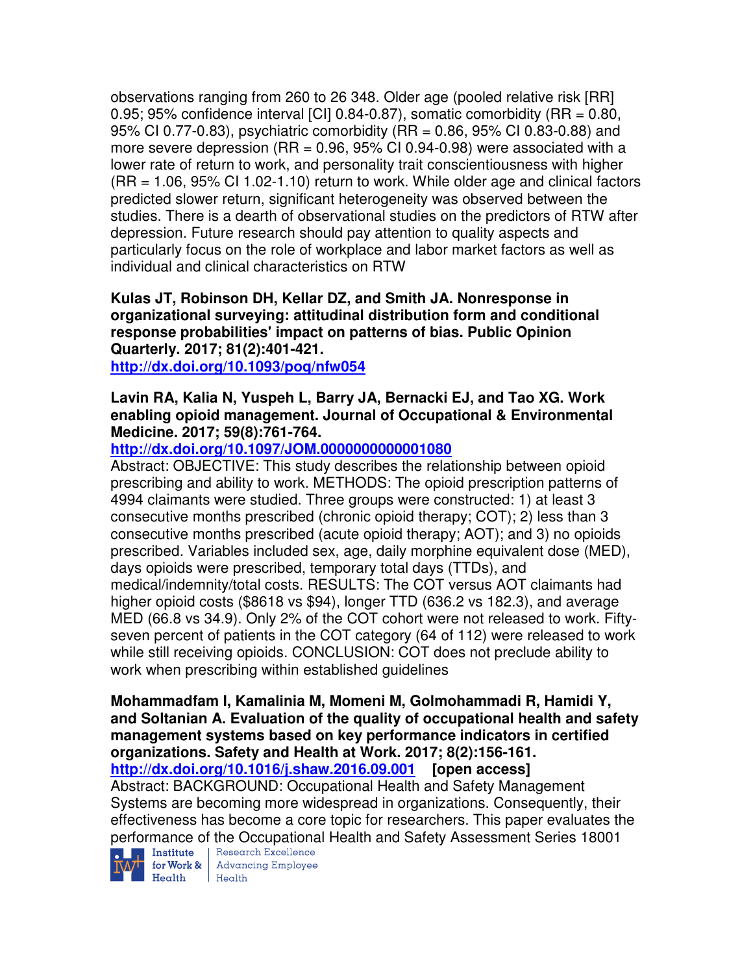observations ranging from 260 to 26 348. Older age (pooled relative risk [RR] 0.95; 95% confidence interval [CI] 0.84-0.87), somatic comorbidity (RR = 0.80, 95% CI 0.77-0.83), psychiatric comorbidity (RR = 0.86, 95% CI 0.83-0.88) and more severe depression  $(RR = 0.96, 95\% \text{ Cl } 0.94-0.98)$  were associated with a lower rate of return to work, and personality trait conscientiousness with higher (RR = 1.06, 95% CI 1.02-1.10) return to work. While older age and clinical factors predicted slower return, significant heterogeneity was observed between the studies. There is a dearth of observational studies on the predictors of RTW after depression. Future research should pay attention to quality aspects and particularly focus on the role of workplace and labor market factors as well as individual and clinical characteristics on RTW

**Kulas JT, Robinson DH, Kellar DZ, and Smith JA. Nonresponse in organizational surveying: attitudinal distribution form and conditional response probabilities' impact on patterns of bias. Public Opinion Quarterly. 2017; 81(2):401-421.** 

**http://dx.doi.org/10.1093/poq/nfw054** 

### **Lavin RA, Kalia N, Yuspeh L, Barry JA, Bernacki EJ, and Tao XG. Work enabling opioid management. Journal of Occupational & Environmental Medicine. 2017; 59(8):761-764.**

**http://dx.doi.org/10.1097/JOM.0000000000001080** 

Abstract: OBJECTIVE: This study describes the relationship between opioid prescribing and ability to work. METHODS: The opioid prescription patterns of 4994 claimants were studied. Three groups were constructed: 1) at least 3 consecutive months prescribed (chronic opioid therapy; COT); 2) less than 3 consecutive months prescribed (acute opioid therapy; AOT); and 3) no opioids prescribed. Variables included sex, age, daily morphine equivalent dose (MED), days opioids were prescribed, temporary total days (TTDs), and medical/indemnity/total costs. RESULTS: The COT versus AOT claimants had higher opioid costs (\$8618 vs \$94), longer TTD (636.2 vs 182.3), and average MED (66.8 vs 34.9). Only 2% of the COT cohort were not released to work. Fiftyseven percent of patients in the COT category (64 of 112) were released to work while still receiving opioids. CONCLUSION: COT does not preclude ability to work when prescribing within established guidelines

**Mohammadfam I, Kamalinia M, Momeni M, Golmohammadi R, Hamidi Y, and Soltanian A. Evaluation of the quality of occupational health and safety management systems based on key performance indicators in certified organizations. Safety and Health at Work. 2017; 8(2):156-161.** 

**http://dx.doi.org/10.1016/j.shaw.2016.09.001 [open access]**

Abstract: BACKGROUND: Occupational Health and Safety Management Systems are becoming more widespread in organizations. Consequently, their effectiveness has become a core topic for researchers. This paper evaluates the performance of the Occupational Health and Safety Assessment Series 18001<br>D. In Institute | Research Excellence



**for Work &** Advancing Employee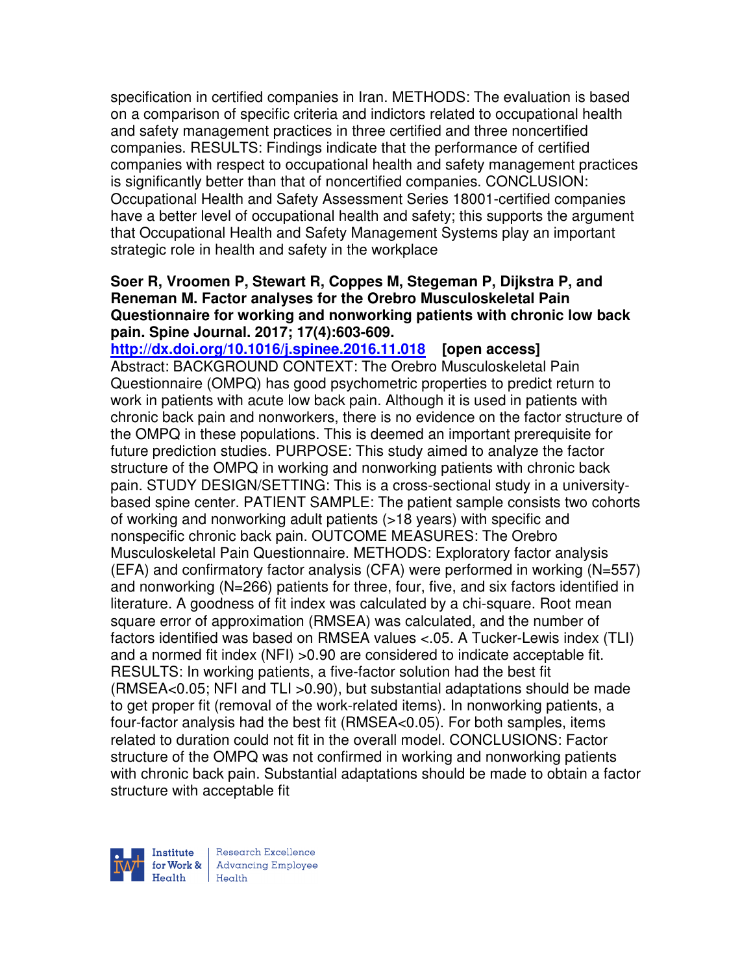specification in certified companies in Iran. METHODS: The evaluation is based on a comparison of specific criteria and indictors related to occupational health and safety management practices in three certified and three noncertified companies. RESULTS: Findings indicate that the performance of certified companies with respect to occupational health and safety management practices is significantly better than that of noncertified companies. CONCLUSION: Occupational Health and Safety Assessment Series 18001-certified companies have a better level of occupational health and safety; this supports the argument that Occupational Health and Safety Management Systems play an important strategic role in health and safety in the workplace

#### **Soer R, Vroomen P, Stewart R, Coppes M, Stegeman P, Dijkstra P, and Reneman M. Factor analyses for the Orebro Musculoskeletal Pain Questionnaire for working and nonworking patients with chronic low back pain. Spine Journal. 2017; 17(4):603-609.**

**http://dx.doi.org/10.1016/j.spinee.2016.11.018 [open access]** Abstract: BACKGROUND CONTEXT: The Orebro Musculoskeletal Pain Questionnaire (OMPQ) has good psychometric properties to predict return to work in patients with acute low back pain. Although it is used in patients with chronic back pain and nonworkers, there is no evidence on the factor structure of the OMPQ in these populations. This is deemed an important prerequisite for future prediction studies. PURPOSE: This study aimed to analyze the factor structure of the OMPQ in working and nonworking patients with chronic back pain. STUDY DESIGN/SETTING: This is a cross-sectional study in a universitybased spine center. PATIENT SAMPLE: The patient sample consists two cohorts of working and nonworking adult patients (>18 years) with specific and nonspecific chronic back pain. OUTCOME MEASURES: The Orebro Musculoskeletal Pain Questionnaire. METHODS: Exploratory factor analysis (EFA) and confirmatory factor analysis (CFA) were performed in working (N=557) and nonworking (N=266) patients for three, four, five, and six factors identified in literature. A goodness of fit index was calculated by a chi-square. Root mean square error of approximation (RMSEA) was calculated, and the number of factors identified was based on RMSEA values <.05. A Tucker-Lewis index (TLI) and a normed fit index (NFI) >0.90 are considered to indicate acceptable fit. RESULTS: In working patients, a five-factor solution had the best fit (RMSEA<0.05; NFI and TLI >0.90), but substantial adaptations should be made to get proper fit (removal of the work-related items). In nonworking patients, a four-factor analysis had the best fit (RMSEA<0.05). For both samples, items related to duration could not fit in the overall model. CONCLUSIONS: Factor structure of the OMPQ was not confirmed in working and nonworking patients with chronic back pain. Substantial adaptations should be made to obtain a factor structure with acceptable fit

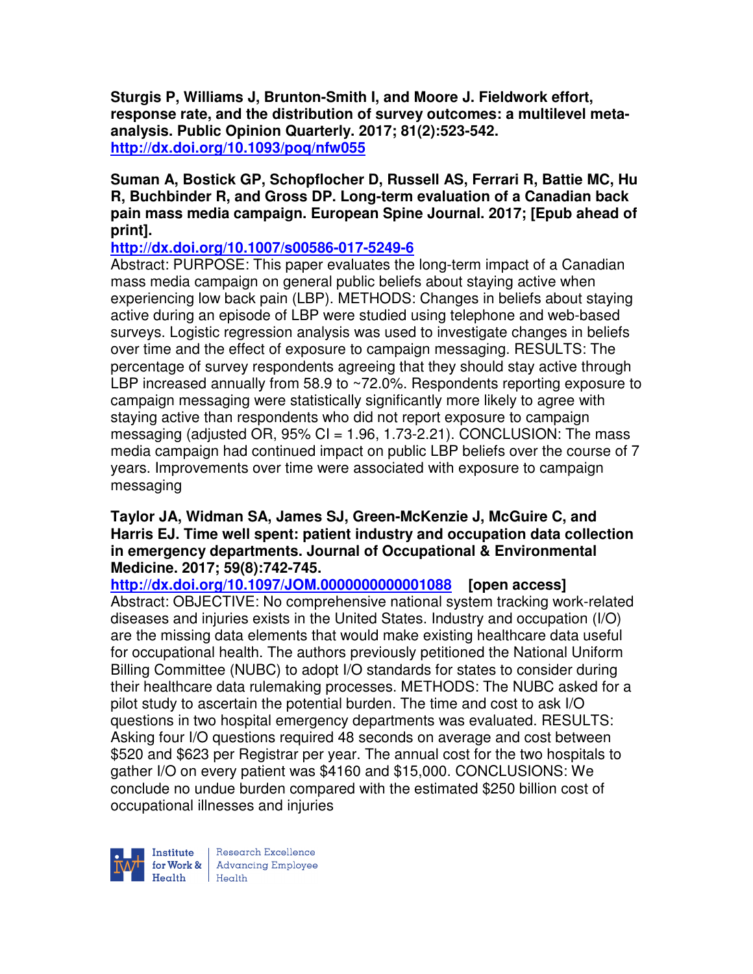**Sturgis P, Williams J, Brunton-Smith I, and Moore J. Fieldwork effort, response rate, and the distribution of survey outcomes: a multilevel metaanalysis. Public Opinion Quarterly. 2017; 81(2):523-542. http://dx.doi.org/10.1093/poq/nfw055** 

## **Suman A, Bostick GP, Schopflocher D, Russell AS, Ferrari R, Battie MC, Hu R, Buchbinder R, and Gross DP. Long-term evaluation of a Canadian back pain mass media campaign. European Spine Journal. 2017; [Epub ahead of print].**

### **http://dx.doi.org/10.1007/s00586-017-5249-6**

Abstract: PURPOSE: This paper evaluates the long-term impact of a Canadian mass media campaign on general public beliefs about staying active when experiencing low back pain (LBP). METHODS: Changes in beliefs about staying active during an episode of LBP were studied using telephone and web-based surveys. Logistic regression analysis was used to investigate changes in beliefs over time and the effect of exposure to campaign messaging. RESULTS: The percentage of survey respondents agreeing that they should stay active through LBP increased annually from 58.9 to ~72.0%. Respondents reporting exposure to campaign messaging were statistically significantly more likely to agree with staying active than respondents who did not report exposure to campaign messaging (adjusted OR,  $95\%$  CI = 1.96, 1.73-2.21). CONCLUSION: The mass media campaign had continued impact on public LBP beliefs over the course of 7 years. Improvements over time were associated with exposure to campaign messaging

#### **Taylor JA, Widman SA, James SJ, Green-McKenzie J, McGuire C, and Harris EJ. Time well spent: patient industry and occupation data collection in emergency departments. Journal of Occupational & Environmental Medicine. 2017; 59(8):742-745.**

**http://dx.doi.org/10.1097/JOM.0000000000001088 [open access]** Abstract: OBJECTIVE: No comprehensive national system tracking work-related diseases and injuries exists in the United States. Industry and occupation (I/O) are the missing data elements that would make existing healthcare data useful for occupational health. The authors previously petitioned the National Uniform Billing Committee (NUBC) to adopt I/O standards for states to consider during their healthcare data rulemaking processes. METHODS: The NUBC asked for a pilot study to ascertain the potential burden. The time and cost to ask I/O questions in two hospital emergency departments was evaluated. RESULTS: Asking four I/O questions required 48 seconds on average and cost between \$520 and \$623 per Registrar per year. The annual cost for the two hospitals to gather I/O on every patient was \$4160 and \$15,000. CONCLUSIONS: We conclude no undue burden compared with the estimated \$250 billion cost of occupational illnesses and injuries

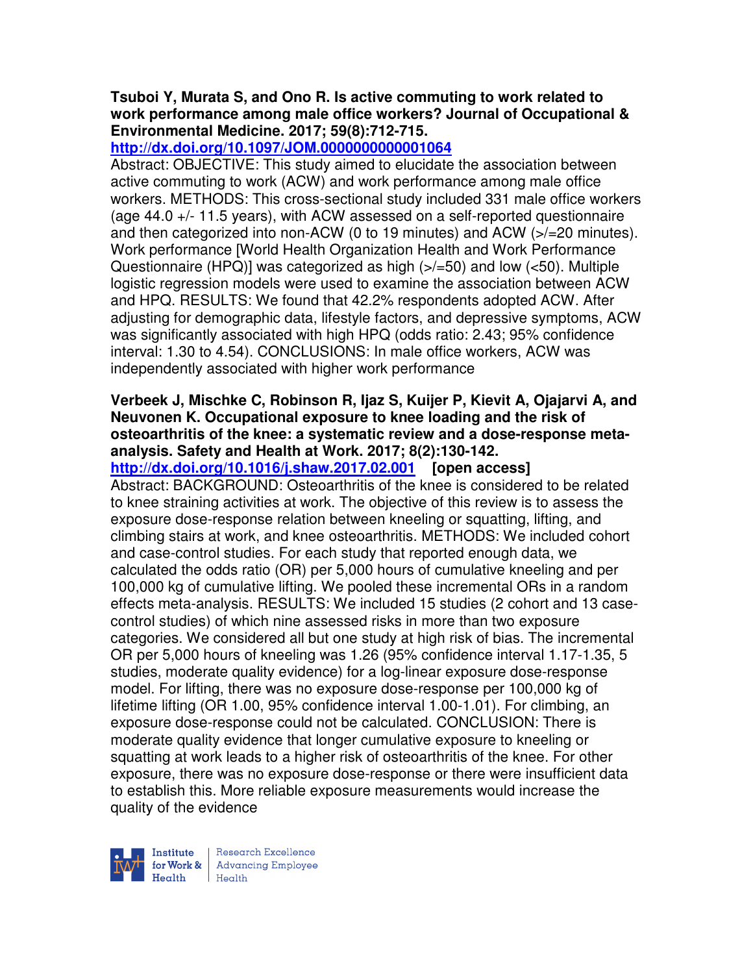## **Tsuboi Y, Murata S, and Ono R. Is active commuting to work related to work performance among male office workers? Journal of Occupational & Environmental Medicine. 2017; 59(8):712-715.**

**http://dx.doi.org/10.1097/JOM.0000000000001064** 

Abstract: OBJECTIVE: This study aimed to elucidate the association between active commuting to work (ACW) and work performance among male office workers. METHODS: This cross-sectional study included 331 male office workers (age 44.0 +/- 11.5 years), with ACW assessed on a self-reported questionnaire and then categorized into non-ACW (0 to 19 minutes) and ACW (>/=20 minutes). Work performance [World Health Organization Health and Work Performance Questionnaire (HPQ)] was categorized as high (>/=50) and low (<50). Multiple logistic regression models were used to examine the association between ACW and HPQ. RESULTS: We found that 42.2% respondents adopted ACW. After adjusting for demographic data, lifestyle factors, and depressive symptoms, ACW was significantly associated with high HPQ (odds ratio: 2.43; 95% confidence interval: 1.30 to 4.54). CONCLUSIONS: In male office workers, ACW was independently associated with higher work performance

## **Verbeek J, Mischke C, Robinson R, Ijaz S, Kuijer P, Kievit A, Ojajarvi A, and Neuvonen K. Occupational exposure to knee loading and the risk of osteoarthritis of the knee: a systematic review and a dose-response metaanalysis. Safety and Health at Work. 2017; 8(2):130-142.**

**http://dx.doi.org/10.1016/j.shaw.2017.02.001 [open access]**

Abstract: BACKGROUND: Osteoarthritis of the knee is considered to be related to knee straining activities at work. The objective of this review is to assess the exposure dose-response relation between kneeling or squatting, lifting, and climbing stairs at work, and knee osteoarthritis. METHODS: We included cohort and case-control studies. For each study that reported enough data, we calculated the odds ratio (OR) per 5,000 hours of cumulative kneeling and per 100,000 kg of cumulative lifting. We pooled these incremental ORs in a random effects meta-analysis. RESULTS: We included 15 studies (2 cohort and 13 casecontrol studies) of which nine assessed risks in more than two exposure categories. We considered all but one study at high risk of bias. The incremental OR per 5,000 hours of kneeling was 1.26 (95% confidence interval 1.17-1.35, 5 studies, moderate quality evidence) for a log-linear exposure dose-response model. For lifting, there was no exposure dose-response per 100,000 kg of lifetime lifting (OR 1.00, 95% confidence interval 1.00-1.01). For climbing, an exposure dose-response could not be calculated. CONCLUSION: There is moderate quality evidence that longer cumulative exposure to kneeling or squatting at work leads to a higher risk of osteoarthritis of the knee. For other exposure, there was no exposure dose-response or there were insufficient data to establish this. More reliable exposure measurements would increase the quality of the evidence